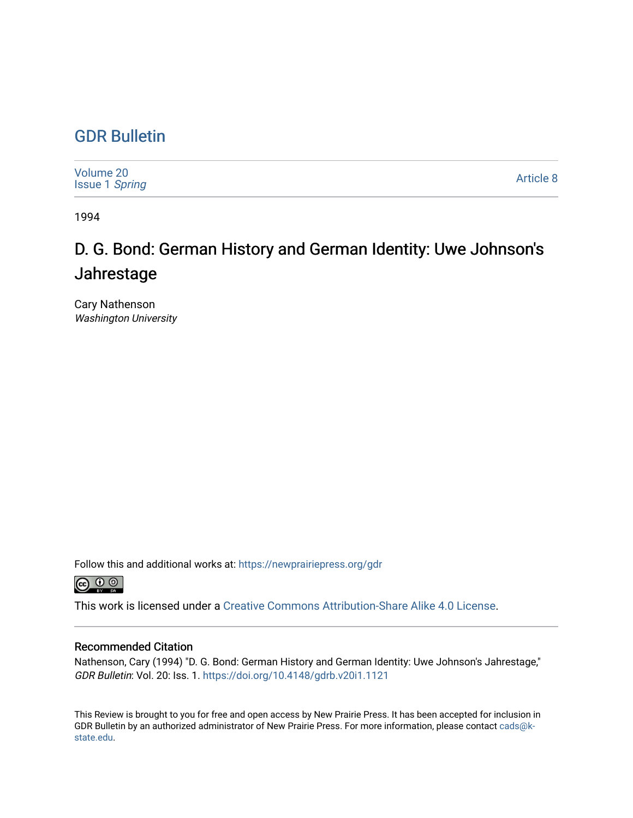## [GDR Bulletin](https://newprairiepress.org/gdr)

| Volume 20<br><b>Issue 1 Spring</b> | Article 8 |
|------------------------------------|-----------|
|------------------------------------|-----------|

1994

## D. G. Bond: German History and German Identity: Uwe Johnson's Jahrestage

Cary Nathenson Washington University

Follow this and additional works at: [https://newprairiepress.org/gdr](https://newprairiepress.org/gdr?utm_source=newprairiepress.org%2Fgdr%2Fvol20%2Fiss1%2F8&utm_medium=PDF&utm_campaign=PDFCoverPages) 



This work is licensed under a [Creative Commons Attribution-Share Alike 4.0 License.](https://creativecommons.org/licenses/by-sa/4.0/)

## Recommended Citation

Nathenson, Cary (1994) "D. G. Bond: German History and German Identity: Uwe Johnson's Jahrestage," GDR Bulletin: Vol. 20: Iss. 1.<https://doi.org/10.4148/gdrb.v20i1.1121>

This Review is brought to you for free and open access by New Prairie Press. It has been accepted for inclusion in GDR Bulletin by an authorized administrator of New Prairie Press. For more information, please contact [cads@k](mailto:cads@k-state.edu)[state.edu](mailto:cads@k-state.edu).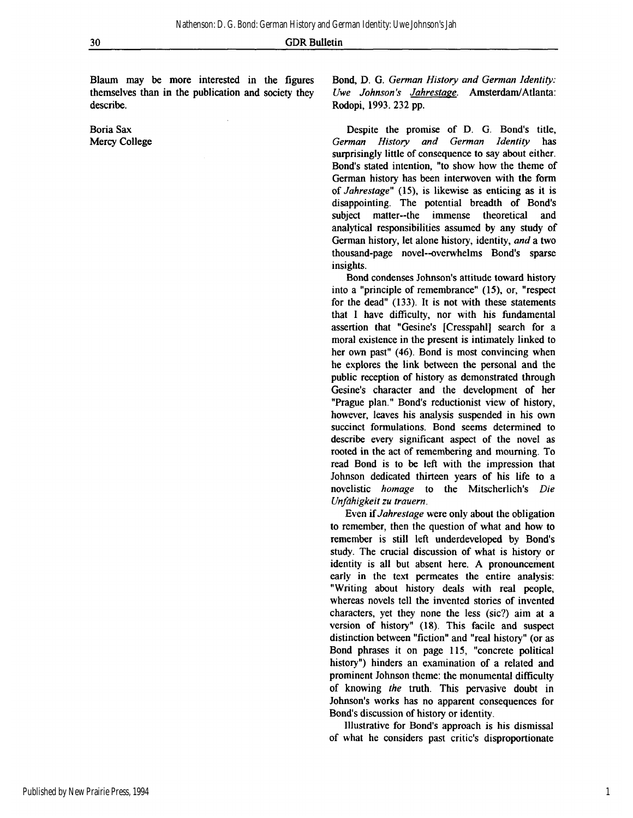Blaum may be more interested in the figures themselves than in the publication and society they describe.

Boria Sax Mercy College Bond, D. G. *German History and German Identity: Uwe Johnson's Jahrestage.* Amsterdam/Atlanta: Rodopi, 1993. 232 pp.

Despite the promise of D. G. Bond's title, *German History and German Identity* has surprisingly little of consequence to say about either. Bond's stated intention, "to show how the theme of German history has been interwoven with the form of *Jahrestage"* (15), is likewise as enticing as it is disappointing. The potential breadth of Bond's subject matter--the immense theoretical and analytical responsibilities assumed by any study of German history, let alone history, identity, *and* a two thousand-page novel--overwhelms Bond's sparse insights.

Bond condenses Johnson's attitude toward history into a "principle of remembrance" (15), or, "respect for the dead" (133). It is not with these statements that I have difficulty, nor with his fundamental assertion that "Gesine's [Cresspahl] search for a moral existence in the present is intimately linked to her own past" (46). Bond is most convincing when he explores the link between the personal and the public reception of history as demonstrated through Gesine's character and the development of her "Prague plan." Bond's reductionist view of history, however, leaves his analysis suspended in his own succinct formulations. Bond seems determined to describe every significant aspect of the novel as rooted in the act of remembering and mourning. To read Bond is to be left with the impression that Johnson dedicated thirteen years of his life to a novelistic *homage* to the Mitscherlich's *Die Unfähigkeit zu trauern.* 

Even if *Jahrestage* were only about the obligation to remember, then the question of what and how to remember is still left underdeveloped by Bond's study. The crucial discussion of what is history or identity is all but absent here. A pronouncement early in the text permeates the entire analysis: "Writing about history deals with real people, whereas novels tell the invented stories of invented characters, yet they none the less (sic?) aim at a version of history" (18). This facile and suspect distinction between "fiction" and "real history" (or as Bond phrases it on page 115, "concrete political history") hinders an examination of a related and prominent Johnson theme: the monumental difficulty of knowing *the* truth. This pervasive doubt in Johnson's works has no apparent consequences for Bond's discussion of history or identity.

Illustrative for Bond's approach is his dismissal of what he considers past critic's disproportionate